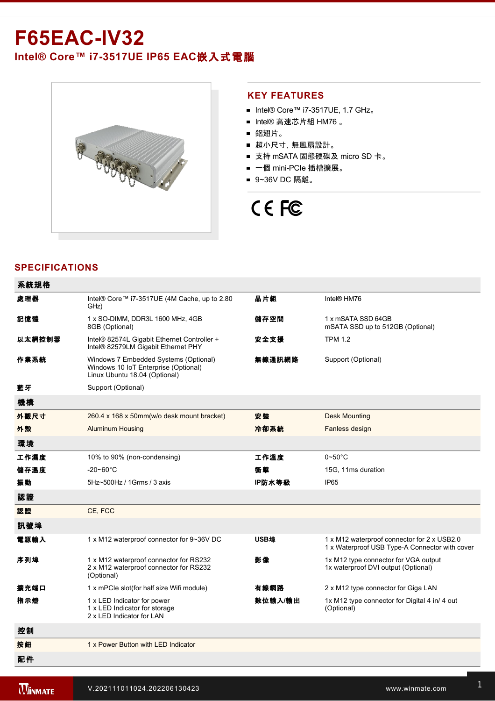# **F65EACIV32 Intel® Core™ i73517UE IP65 EAC**嵌入式電腦



### **KEY FEATURES**

- Intel® Core™ i7-3517UE, 1.7 GHz。
- Intel® 高速芯片組 HM76 。
- 鋁翅片。
- 超小尺寸, 無風扇設計。
- 支持 mSATA 固態硬碟及 micro SD 卡。
- 一個 mini-PCIe 插槽擴展。
- 9~36V DC 隔離。

# CE FC

## **SPECIFICATIONS**

| 系統規格   |                                                                                                                |         |                                                                                               |
|--------|----------------------------------------------------------------------------------------------------------------|---------|-----------------------------------------------------------------------------------------------|
| 處理器    | Intel® Core™ i7-3517UE (4M Cache, up to 2.80<br>GHz)                                                           | 晶片組     | Intel <sup>®</sup> HM76                                                                       |
| 記憶體    | 1 x SO-DIMM, DDR3L 1600 MHz, 4GB<br>8GB (Optional)                                                             | 儲存空間    | 1 x mSATA SSD 64GB<br>mSATA SSD up to 512GB (Optional)                                        |
| 以太網控制器 | Intel® 82574L Gigabit Ethernet Controller +<br>Intel® 82579LM Gigabit Ethernet PHY                             | 安全支援    | <b>TPM 1.2</b>                                                                                |
| 作業系統   | Windows 7 Embedded Systems (Optional)<br>Windows 10 IoT Enterprise (Optional)<br>Linux Ubuntu 18.04 (Optional) | 無線通訊網路  | Support (Optional)                                                                            |
| 藍牙     | Support (Optional)                                                                                             |         |                                                                                               |
| 機構     |                                                                                                                |         |                                                                                               |
| 外觀尺寸   | 260.4 x 168 x 50mm(w/o desk mount bracket)                                                                     | 安裝      | <b>Desk Mounting</b>                                                                          |
| 外殼     | <b>Aluminum Housing</b>                                                                                        | 冷卻系統    | Fanless design                                                                                |
| 環境     |                                                                                                                |         |                                                                                               |
| 工作濕度   | 10% to 90% (non-condensing)                                                                                    | 工作溫度    | $0\neg 50^\circ C$                                                                            |
| 儲存溫度   | $-20 - 60^{\circ}$ C                                                                                           | 衝撃      | 15G, 11ms duration                                                                            |
| 振動     | 5Hz~500Hz / 1Grms / 3 axis                                                                                     | IP防水等級  | IP <sub>65</sub>                                                                              |
| 認證     |                                                                                                                |         |                                                                                               |
| 認證     | CE, FCC                                                                                                        |         |                                                                                               |
| 訊號埠    |                                                                                                                |         |                                                                                               |
| 電源輸入   | 1 x M12 waterproof connector for 9~36V DC                                                                      | USB埠    | 1 x M12 waterproof connector for 2 x USB2.0<br>1 x Waterproof USB Type-A Connector with cover |
| 序列埠    | 1 x M12 waterproof connector for RS232<br>2 x M12 waterproof connector for RS232<br>(Optional)                 | 影像      | 1x M12 type connector for VGA output<br>1x waterproof DVI output (Optional)                   |
| 擴充端口   | 1 x mPCIe slot(for half size Wifi module)                                                                      | 有線網路    | 2 x M12 type connector for Giga LAN                                                           |
| 指示燈    | 1 x LED Indicator for power<br>1 x LED Indicator for storage<br>2 x LED Indicator for LAN                      | 數位輸入/輸出 | 1x M12 type connector for Digital 4 in/ 4 out<br>(Optional)                                   |
| 控制     |                                                                                                                |         |                                                                                               |
| 按鈕     | 1 x Power Button with LED Indicator                                                                            |         |                                                                                               |
| 配件     |                                                                                                                |         |                                                                                               |

 $\mathbb{R}^n$  External open wire Power cable with waterproof  $\mathbb{R}^n$ 

 $\mathbb{R}^2$  100  $\mathbb{R}^2$  100  $\mathbb{R}^2$  100  $\mathbb{R}^2$  100  $\mathbb{R}^2$  100  $\mathbb{R}^2$  100  $\mathbb{R}^2$  100  $\mathbb{R}^2$  100  $\mathbb{R}^2$  100  $\mathbb{R}^2$  100  $\mathbb{R}^2$  100  $\mathbb{R}^2$  100  $\mathbb{R}^2$  100  $\mathbb{R}^2$  100  $\mathbb{R}^2$